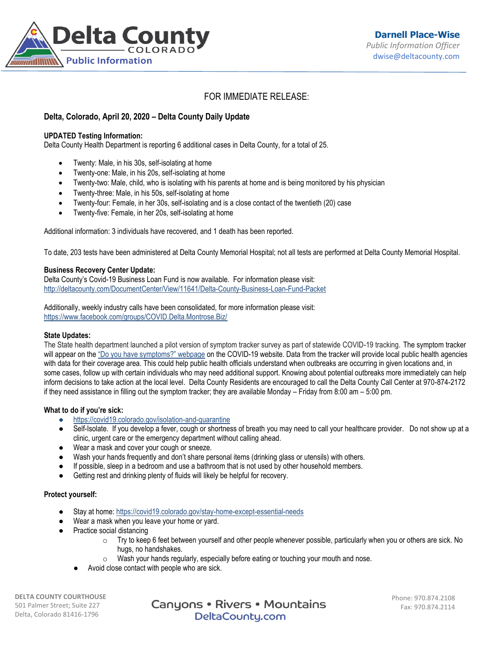

# FOR IMMEDIATE RELEASE:

## **Delta, Colorado, April 20, 2020 – Delta County Daily Update**

### **UPDATED Testing Information:**

Delta County Health Department is reporting 6 additional cases in Delta County, for a total of 25.

- Twenty: Male, in his 30s, self-isolating at home
- Twenty-one: Male, in his 20s, self-isolating at home
- Twenty-two: Male, child, who is isolating with his parents at home and is being monitored by his physician
- Twenty-three: Male, in his 50s, self-isolating at home
- Twenty-four: Female, in her 30s, self-isolating and is a close contact of the twentieth (20) case
- Twenty-five: Female, in her 20s, self-isolating at home

Additional information: 3 individuals have recovered, and 1 death has been reported.

To date, 203 tests have been administered at Delta County Memorial Hospital; not all tests are performed at Delta County Memorial Hospital.

#### **Business Recovery Center Update:**

Delta County's Covid-19 Business Loan Fund is now available. For information please visit: <http://deltacounty.com/DocumentCenter/View/11641/Delta-County-Business-Loan-Fund-Packet>

Additionally, weekly industry calls have been consolidated, for more information please visit: <https://www.facebook.com/groups/COVID.Delta.Montrose.Biz/>

### **State Updates:**

The State health department launched a pilot version of symptom tracker survey as part of statewide COVID-19 tracking. The symptom tracker will appear on the ["Do you have symptoms?" webpage](https://urldefense.proofpoint.com/v2/url?u=https-3A__covid19.colorado.gov_covid19-2Dsymptoms&d=DwMFaQ&c=sdnEM9SRGFuMt5z5w3AhsPNahmNicq64TgF1JwNR0cs&r=PnKX2o6V5rT28C01uT2jQaey7O9MlRgTjftfZ9p6mrI&m=VeZtDCOPLO9OSJM7nuzpB2rG_iy7tj1Io9J2P1Kv0QU&s=p9aYyGvZSKEJjKYyFnNCBKKjXxOW1Wzspe5dvhBVwWA&e=) on the COVID-19 website. Data from the tracker will provide local public health agencies with data for their coverage area. This could help public health officials understand when outbreaks are occurring in given locations and, in some cases, follow up with certain individuals who may need additional support. Knowing about potential outbreaks more immediately can help inform decisions to take action at the local level. Delta County Residents are encouraged to call the Delta County Call Center at 970-874-2172 if they need assistance in filling out the symptom tracker; they are available Monday – Friday from 8:00 am – 5:00 pm.

### **What to do if you're sick:**

- <https://covid19.colorado.gov/isolation-and-quarantine>
- Self-Isolate. If you develop a fever, cough or shortness of breath you may need to call your healthcare provider. Do not show up at a clinic, urgent care or the emergency department without calling ahead.
- Wear a mask and cover your cough or sneeze.
- Wash your hands frequently and don't share personal items (drinking glass or utensils) with others.
- If possible, sleep in a bedroom and use a bathroom that is not used by other household members.
- Getting rest and drinking plenty of fluids will likely be helpful for recovery.

### **Protect yourself:**

- Stay at home: <https://covid19.colorado.gov/stay-home-except-essential-needs>
- Wear a mask when you leave your home or yard.
- Practice social distancing
	- $\circ$  Try to keep 6 feet between yourself and other people whenever possible, particularly when you or others are sick. No hugs, no handshakes.
	- $\circ$  Wash your hands regularly, especially before eating or touching your mouth and nose.
	- Avoid close contact with people who are sick.

**DELTA COUNTY COURTHOUSE** 501 Palmer Street; Suite 227 Delta, Colorado 81416-1796

Canyons • Rivers • Mountains DeltaCounty.com

Phone: 970.874.2108 Fax: 970.874.2114